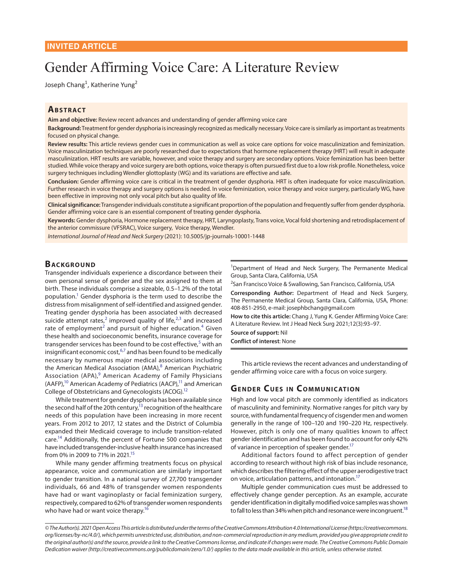# Gender Affirming Voice Care: A Literature Review

Joseph Chang<sup>1</sup>, Katherine Yung<sup>2</sup>

## **ABSTRACT**

**Aim and objective:** Review recent advances and understanding of gender affirming voice care

**Background:** Treatment for gender dysphoria is increasingly recognized as medically necessary. Voice care is similarly as important as treatments focused on physical change.

**Review results:** This article reviews gender cues in communication as well as voice care options for voice masculinization and feminization. Voice masculinization techniques are poorly researched due to expectations that hormone replacement therapy (HRT) will result in adequate masculinization. HRT results are variable, however, and voice therapy and surgery are secondary options. Voice feminization has been better studied. While voice therapy and voice surgery are both options, voice therapy is often pursued first due to a low risk profile. Nonetheless, voice surgery techniques including Wendler glottoplasty (WG) and its variations are effective and safe.

**Conclusion:** Gender affirming voice care is critical in the treatment of gender dysphoria. HRT is often inadequate for voice masculinization. Further research in voice therapy and surgery options is needed. In voice feminization, voice therapy and voice surgery, particularly WG, have been effective in improving not only vocal pitch but also quality of life.

**Clinical significance:** Transgender individuals constitute a significant proportion of the population and frequently suffer from gender dysphoria. Gender affirming voice care is an essential component of treating gender dysphoria.

**Keywords:** Gender dysphoria, Hormone replacement therapy, HRT, Laryngoplasty, Trans voice, Vocal fold shortening and retrodisplacement of the anterior commissure (VFSRAC), Voice surgery, Voice therapy, Wendler.

*International Journal of Head and Neck Surgery* (2021): 10.5005/jp-journals-10001-1448

#### **BACKGROUND**

<span id="page-0-0"></span>Transgender individuals experience a discordance between their own personal sense of gender and the sex assigned to them at birth. These individuals comprise a sizeable, 0.5–1.2% of the total population.<sup>1</sup> Gender dysphoria is the term used to describe the distress from misalignment of self-identified and assigned gender. Treating gender dysphoria has been associated with decreased suicide attempt rates,<sup>[2](#page-3-2)</sup> improved quality of life, $2^{3}$  $2^{3}$  $2^{3}$  and increased rate of employment<sup>[2](#page-3-2)</sup> and pursuit of higher education.<sup>[4](#page-3-4)</sup> Given these health and socioeconomic benefits, insurance coverage for transgender services has been found to be cost effective,<sup>[5](#page-3-5)</sup> with an insignificant economic cost, <sup>[6](#page-3-6)[,7](#page-3-7)</sup> and has been found to be medically necessary by numerous major medical associations including the American Medical Association (AMA),<sup>[8](#page-3-8)</sup> American Psychiatric Association (APA),<sup>[9](#page-3-9)</sup> American Academy of Family Physicians  $(AAFP)<sup>10</sup>$  American Academy of Pediatrics (AACP)<sup>11</sup> and American College of Obstetricians and Gynecologists (ACOG)[.12](#page-3-12)

<span id="page-0-9"></span>While treatment for gender dysphoria has been available since the second half of the 20th century,<sup>13</sup> recognition of the healthcare needs of this population have been increasing in more recent years. From 2012 to 2017, 12 states and the District of Columbia expanded their Medicaid coverage to include transition-related care[.14](#page-3-14) Additionally, the percent of Fortune 500 companies that have included transgender-inclusive health insurance has increased from 0% in 2009 to 71% in 2021.<sup>15</sup>

<span id="page-0-13"></span>While many gender affirming treatments focus on physical appearance, voice and communication are similarly important to gender transition. In a national survey of 27,700 transgender individuals, 66 and 48% of transgender women respondents have had or want vaginoplasty or facial feminization surgery, respectively, compared to 62% of transgender women respondents who have had or want voice therapy.<sup>16</sup>

<sup>1</sup>Department of Head and Neck Surgery, The Permanente Medical Group, Santa Clara, California, USA

2 San Francisco Voice & Swallowing, San Francisco, California, USA

**Corresponding Author:** Department of Head and Neck Surgery, The Permanente Medical Group, Santa Clara, California, USA, Phone: 408-851-2950, e-mail: josephbchang@gmail.com

<span id="page-0-2"></span><span id="page-0-1"></span>**How to cite this article:** Chang J, Yung K. Gender Affirming Voice Care: A Literature Review. Int J Head Neck Surg 2021;12(3):93–97.

<span id="page-0-3"></span>**Source of support:** Nil

<span id="page-0-6"></span><span id="page-0-5"></span><span id="page-0-4"></span>**Conflict of interest**: None

<span id="page-0-8"></span><span id="page-0-7"></span>This article reviews the recent advances and understanding of gender affirming voice care with a focus on voice surgery.

## <span id="page-0-11"></span><span id="page-0-10"></span>**GENDER CUES IN COMMUNICATION**

<span id="page-0-12"></span>High and low vocal pitch are commonly identified as indicators of masculinity and femininity. Normative ranges for pitch vary by source, with fundamental frequency of cisgender men and women generally in the range of 100–120 and 190–220 Hz, respectively. However, pitch is only one of many qualities known to affect gender identification and has been found to account for only 42% of variance in perception of speaker gender.<sup>17</sup>

<span id="page-0-16"></span><span id="page-0-14"></span>Additional factors found to affect perception of gender according to research without high risk of bias include resonance, which describes the filtering effect of the upper aerodigestive tract on voice, articulation patterns, and intonation.<sup>17</sup>

<span id="page-0-17"></span><span id="page-0-15"></span>Multiple gender communication cues must be addressed to effectively change gender perception. As an example, accurate gender identification in digitally modified voice samples was shown to fall to less than 34% when pitch and resonance were incongruent.<sup>18</sup>

*<sup>©</sup> The Author(s). 2021 Open Access This article is distributed under the terms of the Creative Commons Attribution 4.0 International License (https://creativecommons. org/licenses/by-nc/4.0/), which permits unrestricted use, distribution, and non-commercial reproduction in any medium, provided you give appropriate credit to the original author(s) and the source, provide a link to the Creative Commons license, and indicate if changes were made. The Creative Commons Public Domain Dedication waiver (http://creativecommons.org/publicdomain/zero/1.0/) applies to the data made available in this article, unless otherwise stated.*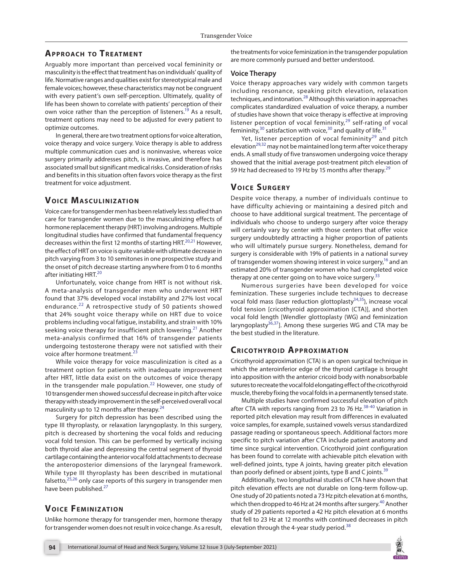# **APPROACH TO TREATMENT**

Arguably more important than perceived vocal femininity or masculinity is the effect that treatment has on individuals' quality of life. Normative ranges and qualities exist for stereotypical male and female voices; however, these characteristics may not be congruent with every patient's own self-perception. Ultimately, quality of life has been shown to correlate with patients' perception of their own voice rather than the perception of listeners.<sup>19</sup> As a result, treatment options may need to be adjusted for every patient to optimize outcomes.

In general, there are two treatment options for voice alteration, voice therapy and voice surgery. Voice therapy is able to address multiple communication cues and is noninvasive, whereas voice surgery primarily addresses pitch, is invasive, and therefore has associated small but significant medical risks. Consideration of risks and benefits in this situation often favors voice therapy as the first treatment for voice adjustment.

#### **VOICE MASCULINIZATION**

Voice care for transgender men has been relatively less studied than care for transgender women due to the masculinizing effects of hormone replacement therapy (HRT) involving androgens. Multiple longitudinal studies have confirmed that fundamental frequency decreases within the first 12 months of starting HRT.<sup>[20,](#page-4-15)[21](#page-4-16)</sup> However, the effect of HRT on voice is quite variable with ultimate decrease in pitch varying from 3 to 10 semitones in one prospective study and the onset of pitch decrease starting anywhere from 0 to 6 months after initiating HRT.<sup>[20](#page-4-15)</sup>

<span id="page-1-9"></span>Unfortunately, voice change from HRT is not without risk. A meta-analysis of transgender men who underwent HRT found that 37% developed vocal instability and 27% lost vocal endurance.<sup>[22](#page-4-17)</sup> A retrospective study of 50 patients showed that 24% sought voice therapy while on HRT due to voice problems including vocal fatigue, instability, and strain with 10% seeking voice therapy for insufficient pitch lowering.<sup>[21](#page-4-16)</sup> Another meta-analysis confirmed that 16% of transgender patients undergoing testosterone therapy were not satisfied with their voice after hormone treatment.<sup>2</sup>

While voice therapy for voice masculinization is cited as a treatment option for patients with inadequate improvement after HRT, little data exist on the outcomes of voice therapy in the transgender male population. $^{22}$  $^{22}$  $^{22}$  However, one study of 10 transgender men showed successful decrease in pitch after voice therapy with steady improvement in the self-perceived overall vocal masculinity up to 12 months after therapy. $24$ 

Surgery for pitch depression has been described using the type III thyroplasty, or relaxation laryngoplasty. In this surgery, pitch is decreased by shortening the vocal folds and reducing vocal fold tension. This can be performed by vertically incising both thyroid alae and depressing the central segment of thyroid cartilage containing the anterior vocal fold attachments to decrease the anteroposterior dimensions of the laryngeal framework. While type III thyroplasty has been described in mutational falsetto, $25,26$  $25,26$  $25,26$  only case reports of this surgery in transgender men have been published.<sup>[27](#page-4-22)</sup>

#### <span id="page-1-13"></span><span id="page-1-12"></span>**VOICE FEMINIZATION**

Unlike hormone therapy for transgender men, hormone therapy for transgender women does not result in voice change. As a result, the treatments for voice feminization in the transgender population are more commonly pursued and better understood.

#### **Voice Therapy**

<span id="page-1-15"></span>Voice therapy approaches vary widely with common targets including resonance, speaking pitch elevation, relaxation techniques, and intonation. $^{28}$  Although this variation in approaches complicates standardized evaluation of voice therapy, a number of studies have shown that voice therapy is effective at improving listener perception of vocal femininity, $29$  self-rating of vocal femininity, $30$  satisfaction with voice,  $30$  and quality of life.  $31$ 

<span id="page-1-19"></span><span id="page-1-18"></span><span id="page-1-17"></span><span id="page-1-16"></span><span id="page-1-6"></span>Yet, listener perception of vocal femininity<sup>29</sup> and pitch elevation<sup>29,32</sup> may not be maintained long term after voice therapy ends. A small study of five transwomen undergoing voice therapy showed that the initial average post-treatment pitch elevation of 59 Hz had decreased to 19 Hz by 15 months after therapy.<sup>[29](#page-4-2)</sup>

# **VOICE SURGERY**

<span id="page-1-8"></span><span id="page-1-7"></span>Despite voice therapy, a number of individuals continue to have difficulty achieving or maintaining a desired pitch and choose to have additional surgical treatment. The percentage of individuals who choose to undergo surgery after voice therapy will certainly vary by center with those centers that offer voice surgery undoubtedly attracting a higher proportion of patients who will ultimately pursue surgery. Nonetheless, demand for surgery is considerable with 19% of patients in a national survey of transgender women showing interest in voice surgery,<sup>16</sup> and an estimated 20% of transgender women who had completed voice therapy at one center going on to have voice surgery.<sup>[33](#page-4-6)</sup>

<span id="page-1-21"></span><span id="page-1-20"></span><span id="page-1-0"></span>Numerous surgeries have been developed for voice feminization. These surgeries include techniques to decrease vocal fold mass (laser reduction glottoplasty $34,35$ ), increase vocal fold tension [cricothyroid approximation (CTA)], and shorten vocal fold length [Wendler glottoplasty (WG) and feminization laryngoplasty<sup>36,[37](#page-4-10)</sup>]. Among these surgeries WG and CTA may be the best studied in the literature.

# <span id="page-1-10"></span><span id="page-1-2"></span><span id="page-1-1"></span>**CRICOTHYROID APPROXIMATION**

Cricothyroid approximation (CTA) is an open surgical technique in which the anteroinferior edge of the thyroid cartilage is brought into apposition with the anterior cricoid body with nonabsorbable sutures to recreate the vocal fold elongating effect of the cricothyroid muscle, thereby fixing the vocal folds in a permanently tensed state.

<span id="page-1-11"></span>Multiple studies have confirmed successful elevation of pitch after CTA with reports ranging from 23 to 76 Hz.<sup>[38-](#page-4-11)40</sup> Variation in reported pitch elevation may result from differences in evaluated voice samples, for example, sustained vowels versus standardized passage reading or spontaneous speech. Additional factors more specific to pitch variation after CTA include patient anatomy and time since surgical intervention. Cricothyroid joint configuration has been found to correlate with achievable pitch elevation with well-defined joints, type A joints, having greater pitch elevation than poorly defined or absent joints, type B and C joints.<sup>[39](#page-4-13)</sup>

<span id="page-1-14"></span>Additionally, two longitudinal studies of CTA have shown that pitch elevation effects are not durable on long-term follow-up. One study of 20 patients noted a 73 Hz pitch elevation at 6 months, which then dropped to 46 Hz at 24 months after surgery.<sup>[40](#page-4-12)</sup> Another study of 29 patients reported a 42 Hz pitch elevation at 6 months that fell to 23 Hz at 12 months with continued decreases in pitch elevation through the 4-year study period.<sup>[38](#page-4-11)</sup>

<span id="page-1-5"></span><span id="page-1-4"></span><span id="page-1-3"></span>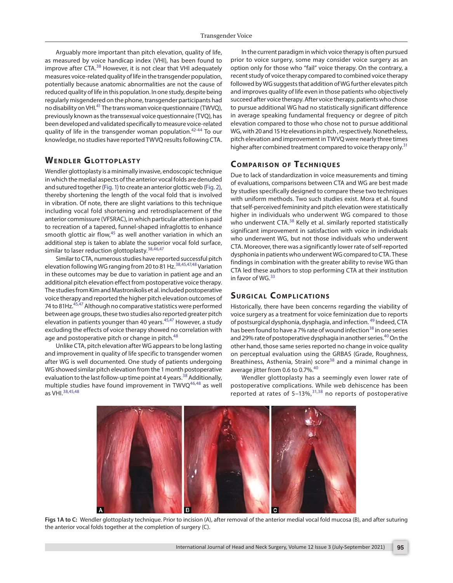Arguably more important than pitch elevation, quality of life, as measured by voice handicap index (VHI), has been found to improve after CTA.<sup>38</sup> However, it is not clear that VHI adequately measures voice-related quality of life in the transgender population, potentially because anatomic abnormalities are not the cause of reduced quality of life in this population. In one study, despite being regularly misgendered on the phone, transgender participants had no disability on VHI.[41](#page-4-24) The trans woman voice questionnaire (TWVQ), previously known as the transsexual voice questionnaire (TVQ), has been developed and validated specifically to measure voice-related quality of life in the transgender woman population.<sup>[42](#page-4-25)[-44](#page-4-26)</sup> To our knowledge, no studies have reported TWVQ results following CTA.

#### **WENDLER GLOTTOPLASTY**

Wendler glottoplasty is a minimally invasive, endoscopic technique in which the medial aspects of the anterior vocal folds are denuded and sutured together [\(Fig. 1\)](#page-2-0) to create an anterior glottic web ([Fig. 2](#page-3-17)), thereby shortening the length of the vocal fold that is involved in vibration. Of note, there are slight variations to this technique including vocal fold shortening and retrodisplacement of the anterior commissure (VFSRAC), in which particular attention is paid to recreation of a tapered, funnel-shaped infraglottis to enhance smooth glottic air flow, $45$  as well another variation in which an additional step is taken to ablate the superior vocal fold surface, similar to laser reduction glottoplasty.<sup>[38](#page-4-11)[,46](#page-4-28)[,47](#page-4-29)</sup>

Similar to CTA, numerous studies have reported successful pitch elevation following WG ranging from 20 to 81 Hz.[38,](#page-4-11)[45](#page-4-27),[47](#page-4-29),[48](#page-4-30) Variation in these outcomes may be due to variation in patient age and an additional pitch elevation effect from postoperative voice therapy. The studies from Kim and Mastronikolis et al. included postoperative voice therapy and reported the higher pitch elevation outcomes of 74 to 81Hz.<sup>[45](#page-4-27),47</sup> Although no comparative statistics were performed between age groups, these two studies also reported greater pitch elevation in patients younger than 40 years.<sup>[45](#page-4-27),47</sup> However, a study excluding the effects of voice therapy showed no correlation with age and postoperative pitch or change in pitch.<sup>[48](#page-4-30)</sup>

Unlike CTA, pitch elevation after WG appears to be long lasting and improvement in quality of life specific to transgender women after WG is well documented. One study of patients undergoing WG showed similar pitch elevation from the 1 month postoperative evaluation to the last follow-up time point at 4 years.<sup>[38](#page-4-11)</sup> Additionally, multiple studies have found improvement in  $TWVQ^{46,48}$  $TWVQ^{46,48}$  $TWVQ^{46,48}$  $TWVQ^{46,48}$  as well as VHI.[38](#page-4-11),[45](#page-4-27)[,48](#page-4-30)

<span id="page-2-3"></span>In the current paradigm in which voice therapy is often pursued prior to voice surgery, some may consider voice surgery as an option only for those who "fail" voice therapy. On the contrary, a recent study of voice therapy compared to combined voice therapy followed by WG suggests that addition of WG further elevates pitch and improves quality of life even in those patients who objectively succeed after voice therapy. After voice therapy, patients who chose to pursue additional WG had no statistically significant difference in average speaking fundamental frequency or degree of pitch elevation compared to those who chose not to pursue additional WG, with 20 and 15 Hz elevations in pitch , respectively. Nonetheless, pitch elevation and improvement in TWVQ were nearly three times higher after combined treatment compared to voice therapy only.<sup>[31](#page-4-4)</sup>

# <span id="page-2-5"></span><span id="page-2-4"></span>**COMPARISON OF TECHNIQUES**

<span id="page-2-6"></span><span id="page-2-2"></span><span id="page-2-1"></span>Due to lack of standardization in voice measurements and timing of evaluations, comparisons between CTA and WG are best made by studies specifically designed to compare these two techniques with uniform methods. Two such studies exist. Mora et al. found that self-perceived femininity and pitch elevation were statistically higher in individuals who underwent WG compared to those who underwent CTA.<sup>38</sup> Kelly et al. similarly reported statistically significant improvement in satisfaction with voice in individuals who underwent WG, but not those individuals who underwent CTA. Moreover, there was a significantly lower rate of self-reported dysphonia in patients who underwent WG compared to CTA. These findings in combination with the greater ability to revise WG than CTA led these authors to stop performing CTA at their institution in favor of WG. $33$ 

# <span id="page-2-9"></span><span id="page-2-8"></span><span id="page-2-7"></span>**SURGICAL COMPLICATIONS**

<span id="page-2-10"></span>Historically, there have been concerns regarding the viability of voice surgery as a treatment for voice feminization due to reports of postsurgical dysphonia, dysphagia, and infection.<sup>49</sup> Indeed, CTA has been found to have a 7% rate of wound infection<sup>38</sup> in one series and 29% rate of postoperative dysphagia in another series.<sup>[40](#page-4-12)</sup> On the other hand, those same series reported no change in voice quality on perceptual evaluation using the GRBAS (Grade, Roughness, Breathiness, Asthenia, Strain) score<sup>38</sup> and a minimal change in average jitter from 0.6 to 0.7%.<sup>[40](#page-4-12)</sup>

Wendler glottoplasty has a seemingly even lower rate of postoperative complications. While web dehiscence has been .<br>reported at rates of 5–13%,<sup>[31](#page-4-4),38</sup> no reports of postoperative



<span id="page-2-0"></span>**[Figs 1A to C:](#page-2-1)** Wendler glottoplasty technique. Prior to incision (A), after removal of the anterior medial vocal fold mucosa (B), and after suturing the anterior vocal folds together at the completion of surgery (C).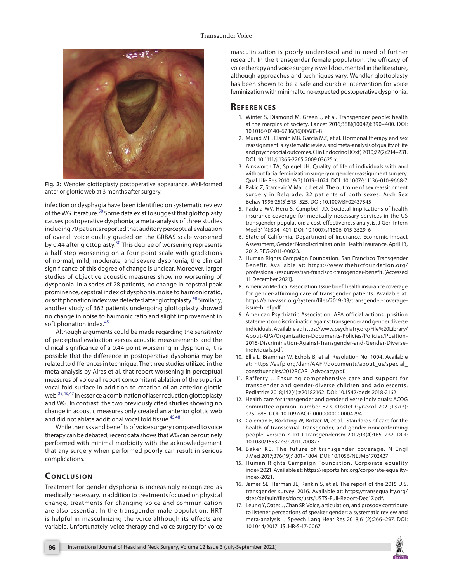

**[Fig. 2:](#page-2-2)** Wendler glottoplasty postoperative appearance. Well-formed anterior glottic web at 3 months after surgery.

<span id="page-3-17"></span>infection or dysphagia have been identified on systematic review of the WG literature.<sup>[50](#page-4-31)</sup> Some data exist to suggest that glottoplasty causes postoperative dysphonia; a meta-analysis of three studies including 70 patients reported that auditory perceptual evaluation of overall voice quality graded on the GRBAS scale worsened by 0.44 after glottoplasty.<sup>[50](#page-4-31)</sup> This degree of worsening represents a half-step worsening on a four-point scale with gradations of normal, mild, moderate, and severe dysphonia; the clinical significance of this degree of change is unclear. Moreover, larger studies of objective acoustic measures show no worsening of dysphonia. In a series of 28 patients, no change in cepstral peak prominence, cepstral index of dysphonia, noise to harmonic ratio, or soft phonation index was detected after glottoplasty[.48](#page-4-30) Similarly, another study of 362 patients undergoing glottoplasty showed no change in noise to harmonic ratio and slight improvement in soft phonation index.<sup>[45](#page-4-27)</sup>

Although arguments could be made regarding the sensitivity of perceptual evaluation versus acoustic measurements and the clinical significance of a 0.44 point worsening in dysphonia, it is possible that the difference in postoperative dysphonia may be related to differences in technique. The three studies utilized in the meta-analysis by Aires et al. that report worsening in perceptual measures of voice all report concomitant ablation of the superior vocal fold surface in addition to creation of an anterior glottic web,  $38,46,47$  $38,46,47$  $38,46,47$  in essence a combination of laser reduction glottoplasty and WG. In contrast, the two previously cited studies showing no change in acoustic measures only created an anterior glottic web and did not ablate additional vocal fold tissue.  $45,48$  $45,48$  $45,48$ 

While the risks and benefits of voice surgery compared to voice therapy can be debated, recent data shows that WG can be routinely performed with minimal morbidity with the acknowledgement that any surgery when performed poorly can result in serious complications.

#### **CONCLUSION**

Treatment for gender dysphoria is increasingly recognized as medically necessary. In addition to treatments focused on physical change, treatments for changing voice and communication are also essential. In the transgender male population, HRT is helpful in masculinizing the voice although its effects are variable. Unfortunately, voice therapy and voice surgery for voice masculinization is poorly understood and in need of further research. In the transgender female population, the efficacy of voice therapy and voice surgery is well documented in the literature, although approaches and techniques vary. Wendler glottoplasty has been shown to be a safe and durable intervention for voice feminization with minimal to no expected postoperative dysphonia.

#### **Refe r e nce s**

- <span id="page-3-1"></span>[1.](#page-0-0) Winter S, Diamond M, Green J, et al. Transgender people: health at the margins of society. Lancet 2016;388((10042)):390–400. DOI: [10.1016/s0140-6736\(16\)00683-8](https://doi.org/10.1016/s0140-6736(16)00683-8)
- <span id="page-3-2"></span>[2.](#page-0-1) Murad MH, Elamin MB, Garcia MZ, et al. Hormonal therapy and sex reassignment: a systematic review and meta-analysis of quality of life and psychosocial outcomes. Clin Endocrinol (Oxf) 2010;72(2):214–231. DOI: [10.1111/j.1365-2265.2009.03625.x.](https://doi.org/10.1111/j.1365-2265.2009.03625.x.)
- <span id="page-3-3"></span>[3.](#page-0-2) Ainsworth TA, Spiegel JH. Quality of life of individuals with and without facial feminization surgery or gender reassignment surgery. Qual Life Res 2010;19(7):1019–1024. DOI: [10.1007/s11136-010-9668-7](https://doi.org/10.1007/s11136-010-9668-7)
- <span id="page-3-4"></span>[4.](#page-0-3) Rakic Z, Starcevic V, Maric J, et al. The outcome of sex reassignment surgery in Belgrade: 32 patients of both sexes. Arch Sex Behav 1996;25(5):515–525. DOI: [10.1007/BF02437545](https://doi.org/10.1007/BF02437545)
- <span id="page-3-18"></span><span id="page-3-5"></span>[5.](#page-0-4) Padula WV, Heru S, Campbell JD. Societal implications of health insurance coverage for medically necessary services in the US transgender population: a cost-effectiveness analysis. J Gen Intern Med 31(4):394–401. DOI: [10.1007/s11606-015-3529-6](https://doi.org/10.1007/s11606-015-3529-6)
- <span id="page-3-6"></span>[6.](#page-0-5) State of California, Department of Insurance. Economic Impact Assessment, Gender Nondiscrimination in Health Insurance. April 13, 2012. REG-2011-00023.
- <span id="page-3-7"></span>[7.](#page-0-6) Human Rights Campaign Foundation. San Francisco Transgender Benefit. Available at: [https://www.thehrcfoundation.org/](https://www.thehrcfoundation.org/professional-resources/san-francisco-transgender-benefit.) [professional-resources/san-francisco-transgender-benefit.](https://www.thehrcfoundation.org/professional-resources/san-francisco-transgender-benefit.) [Accessed 11 December 2021].
- <span id="page-3-8"></span>[8.](#page-0-7) American Medical Association. Issue brief: health insurance coverage for gender-affirming care of transgender patients. Available at: [https://ama-assn.org/system/files/2019-03/transgender-coverage](https://ama-assn.org/system/files/2019-03/transgender-coverage-issue-brief.pdf.)[issue-brief.pdf.](https://ama-assn.org/system/files/2019-03/transgender-coverage-issue-brief.pdf.)
- <span id="page-3-9"></span>American Psychiatric Association. APA official actions: position statement on discrimination against transgender and gender diverse individuals. Available at: [https://www.psychiatry.org/File%20Library/](https://www.psychiatry.org/File%20Library/About-APA/Organization-Documents-Policies/Policies/Position-2018-Discrimination-Against-Transgender-and-Gender-Diverse-Individuals.pdf.) [About-APA/Organization-Documents-Policies/Policies/Position-](https://www.psychiatry.org/File%20Library/About-APA/Organization-Documents-Policies/Policies/Position-2018-Discrimination-Against-Transgender-and-Gender-Diverse-Individuals.pdf.)[2018-Discrimination-Against-Transgender-and-Gender-Diverse-](https://www.psychiatry.org/File%20Library/About-APA/Organization-Documents-Policies/Policies/Position-2018-Discrimination-Against-Transgender-and-Gender-Diverse-Individuals.pdf.)[Individuals.pdf.](https://www.psychiatry.org/File%20Library/About-APA/Organization-Documents-Policies/Policies/Position-2018-Discrimination-Against-Transgender-and-Gender-Diverse-Individuals.pdf.)
- <span id="page-3-10"></span>[10.](#page-0-9) Ellis L, Brammer W, Echols B, et al. Resolution No. 1004. Available at: [https://aafp.org/dam/AAFP/documents/about\\_us/special\\_](https://aafp.org/dam/AAFP/documents/about_us/special_constituencies/2012RCAR_Advocacy.pdf.) [constituencies/2012RCAR\\_Advocacy.pdf.](https://aafp.org/dam/AAFP/documents/about_us/special_constituencies/2012RCAR_Advocacy.pdf.)
- <span id="page-3-11"></span>[11.](#page-0-10) Rafferty J. Ensuring comprehensive care and support for transgender and gender-diverse children and adolescents. Pediatrics 2018;142(4):e20182162. DOI: [10.1542/peds.2018-2162](https://doi.org/10.1542/peds.2018-2162)
- <span id="page-3-12"></span>[12.](#page-0-11) Health care for transgender and gender diverse individuals: ACOG committee opinion, number 823. Obstet Gynecol 2021;137(3): e75–e88. DOI: [10.1097/AOG.0000000000004294](https://doi.org/10.1097/AOG.0000000000004294)
- <span id="page-3-13"></span>[13.](#page-0-12) Coleman E, Bockting W, Botzer M, et al. Standards of care for the health of transsexual, transgender, and gender-nonconforming people, version 7. Int J Transgenderism 2012;13(4):165–232. DOI: [10.1080/15532739.2011.700873](https://doi.org/10.1080/15532739.2011.700873)
- <span id="page-3-14"></span>[14.](#page-0-13) Baker KE. The future of transgender coverage. N Engl J Med 2017;376(19):1801–1804. DOI: [10.1056/NEJMp1702427](https://doi.org/10.1056/NEJMp1702427)
- <span id="page-3-15"></span>[15.](#page-0-14) Human Rights Campaign Foundation. Corporate equality index 2021. Available at: [https://reports.hrc.org/corporate-equality](https://reports.hrc.org/corporate-equality-index-2021.)[index-2021.](https://reports.hrc.org/corporate-equality-index-2021.)
- <span id="page-3-16"></span>[16.](#page-0-15) James SE, Herman JL, Rankin S, et al. The report of the 2015 U.S. transgender survey. 2016. Available at: [https://transequality.org/](https://transequality.org/sites/default/files/docs/usts/USTS-Full-Report-Dec17.pdf.) [sites/default/files/docs/usts/USTS-Full-Report-Dec17.pdf.](https://transequality.org/sites/default/files/docs/usts/USTS-Full-Report-Dec17.pdf.)
- <span id="page-3-0"></span>[17.](#page-0-16) Leung Y, Oates J, Chan SP. Voice, articulation, and prosody contribute to listener perceptions of speaker gender: a systematic review and meta-analysis. J Speech Lang Hear Res 2018;61(2):266–297. DOI: [10.1044/2017\\_JSLHR-S-17-0067](https://doi.org/10.1044/2017_JSLHR-S-17-0067)